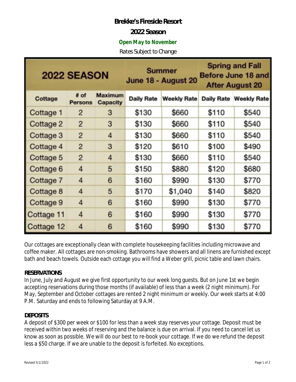## **Brekke's Fireside Resort**

## **2022 Season**

## *Open May to November*

*Rates Subject to Change* 

| <b>2022 SEASON</b> |                        |                                   | <b>Summer</b><br>June 18 - August 20 |                    | <b>Spring and Fall</b><br>Before June 18 and<br><b>After August 20</b> |                               |
|--------------------|------------------------|-----------------------------------|--------------------------------------|--------------------|------------------------------------------------------------------------|-------------------------------|
| <b>Cottage</b>     | # of<br><b>Persons</b> | <b>Maximum</b><br><b>Capacity</b> | <b>Daily Rate</b>                    | <b>Weekly Rate</b> |                                                                        | <b>Daily Rate Weekly Rate</b> |
| Cottage 1          | 2                      | 3                                 | \$130                                | \$660              | \$110                                                                  | \$540                         |
| Cottage 2          | $\overline{2}$         | 3                                 | \$130                                | \$660              | \$110                                                                  | \$540                         |
| Cottage 3          | $\overline{2}$         | 4                                 | \$130                                | \$660              | \$110                                                                  | \$540                         |
| Cottage 4          | $\overline{2}$         | 3                                 | \$120                                | \$610              | \$100                                                                  | \$490                         |
| Cottage 5          | $\overline{2}$         | 4                                 | \$130                                | \$660              | \$110                                                                  | \$540                         |
| Cottage 6          | 4                      | 5                                 | \$150                                | \$880              | \$120                                                                  | \$680                         |
| Cottage 7          | 4                      | 6                                 | \$160                                | \$990              | \$130                                                                  | \$770                         |
| Cottage 8          | 4                      | 5                                 | \$170                                | \$1,040            | \$140                                                                  | \$820                         |
| Cottage 9          | 4                      | 6                                 | \$160                                | \$990              | \$130                                                                  | \$770                         |
| Cottage 11         | 4                      | 6                                 | \$160                                | \$990              | \$130                                                                  | \$770                         |
| Cottage 12         | 4                      | 6                                 | \$160                                | \$990              | \$130                                                                  | \$770                         |

Our cottages are exceptionally clean with complete housekeeping facilities including microwave and coffee maker. All cottages are non-smoking. Bathrooms have showers and all linens are furnished except bath and beach towels. Outside each cottage you will find a Weber grill, picnic table and lawn chairs.

#### **RESERVATIONS**

In June, July and August we give first opportunity to our week long guests. But on June 1st we begin accepting reservations during those months (if available) of less than a week (2 night minimum). For May, September and October cottages are rented 2 night minimum or weekly. Our week starts at 4:00 P.M. Saturday and ends to following Saturday at 9 A.M.

## **DEPOSITS**

A deposit of \$300 per week or \$100 for less than a week stay reserves your cottage. Deposit must be received within two weeks of reserving and the balance is due on arrival. If you need to cancel let us know as soon as possible. We will do our best to re-book your cottage. If we do we refund the deposit less a \$50 charge. If we are unable to the deposit is forfeited. No exceptions.